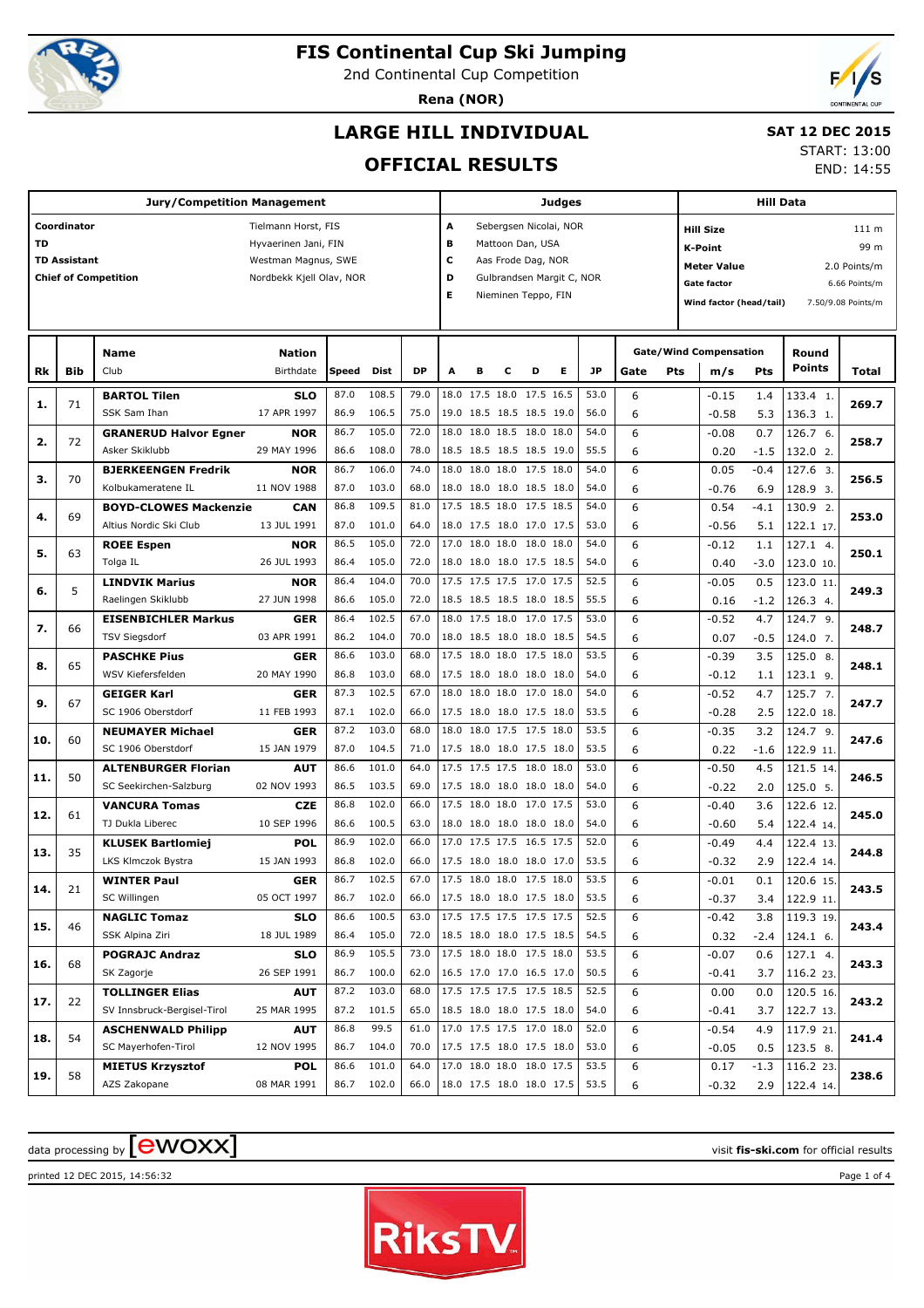

# **FIS Continental Cup Ski Jumping**

2nd Continental Cup Competition

**Rena (NOR)**



# **LARGE HILL INDIVIDUAL**

### **SAT 12 DEC 2015**

## **OFFICIAL RESULTS**

START: 13:00

END: 14:55

|     |                                    | <b>Jury/Competition Management</b>                     |                                                                                                |              |                     |              |                                                        |   |   |                                                               | <b>Judges</b>                                       |              |        |     |                                                                                                           | <b>Hill Data</b> |                        |                                                                      |
|-----|------------------------------------|--------------------------------------------------------|------------------------------------------------------------------------------------------------|--------------|---------------------|--------------|--------------------------------------------------------|---|---|---------------------------------------------------------------|-----------------------------------------------------|--------------|--------|-----|-----------------------------------------------------------------------------------------------------------|------------------|------------------------|----------------------------------------------------------------------|
| TD  | Coordinator<br><b>TD Assistant</b> | <b>Chief of Competition</b>                            | Tielmann Horst, FIS<br>Hyvaerinen Jani, FIN<br>Westman Magnus, SWE<br>Nordbekk Kjell Olav, NOR |              |                     |              | А<br>в<br>с<br>D<br>Е                                  |   |   | Mattoon Dan, USA<br>Aas Frode Dag, NOR<br>Nieminen Teppo, FIN | Sebergsen Nicolai, NOR<br>Gulbrandsen Margit C, NOR |              |        |     | <b>Hill Size</b><br><b>K-Point</b><br><b>Meter Value</b><br><b>Gate factor</b><br>Wind factor (head/tail) |                  |                        | 111 m<br>99 m<br>2.0 Points/m<br>6.66 Points/m<br>7.50/9.08 Points/m |
| Rk  | <b>Bib</b>                         | <b>Name</b><br>Club                                    | <b>Nation</b><br>Birthdate                                                                     | Speed        | Dist                | <b>DP</b>    | A                                                      | в | c | D                                                             | Е                                                   | <b>JP</b>    | Gate   | Pts | <b>Gate/Wind Compensation</b><br>m/s                                                                      | Pts              | Round<br><b>Points</b> | Total                                                                |
| 1.  | 71                                 | <b>BARTOL Tilen</b><br>SSK Sam Ihan                    | <b>SLO</b><br>17 APR 1997                                                                      | 87.0<br>86.9 | 108.5<br>106.5      | 79.0<br>75.0 |                                                        |   |   | 18.0 17.5 18.0 17.5 16.5<br>19.0 18.5 18.5 18.5 19.0          |                                                     | 53.0<br>56.0 | 6<br>6 |     | $-0.15$<br>$-0.58$                                                                                        | 1.4<br>5.3       | 133.4 1.<br>136.3 1.   | 269.7                                                                |
| 2.  | 72                                 | <b>GRANERUD Halvor Egner</b><br>Asker Skiklubb         | <b>NOR</b><br>29 MAY 1996                                                                      | 86.7<br>86.6 | 105.0<br>108.0      | 72.0<br>78.0 |                                                        |   |   | 18.0 18.0 18.5 18.0 18.0<br>18.5 18.5 18.5 18.5 19.0          |                                                     | 54.0<br>55.5 | 6<br>6 |     | $-0.08$<br>0.20                                                                                           | 0.7<br>$-1.5$    | 126.7 6.<br>132.0 2.   | 258.7                                                                |
| з.  | 70                                 | <b>BJERKEENGEN Fredrik</b><br>Kolbukameratene IL       | <b>NOR</b><br>11 NOV 1988                                                                      | 86.7<br>87.0 | 106.0<br>103.0      | 74.0<br>68.0 |                                                        |   |   | 18.0 18.0 18.0 17.5 18.0<br>18.0 18.0 18.0 18.5 18.0          |                                                     | 54.0<br>54.0 | 6<br>6 |     | 0.05<br>$-0.76$                                                                                           | $-0.4$<br>6.9    | 127.6 3.<br>128.9 3.   | 256.5                                                                |
| 4.  | 69                                 | <b>BOYD-CLOWES Mackenzie</b><br>Altius Nordic Ski Club | <b>CAN</b><br>13 JUL 1991                                                                      | 86.8<br>87.0 | 109.5<br>101.0      | 81.0<br>64.0 | 17.5 18.5 18.0 17.5 18.5<br>18.0 17.5 18.0 17.0 17.5   |   |   |                                                               |                                                     | 54.0<br>53.0 | 6<br>6 |     | 0.54<br>$-0.56$                                                                                           | $-4.1$<br>5.1    | 130.9 2.<br>122.1 17   | 253.0                                                                |
| 5.  | 63                                 | <b>ROEE Espen</b><br>Tolga IL                          | <b>NOR</b><br>26 JUL 1993                                                                      | 86.5<br>86.4 | 105.0<br>105.0      | 72.0<br>72.0 | 17.0 18.0 18.0 18.0 18.0                               |   |   | 18.0 18.0 18.0 17.5 18.5                                      |                                                     | 54.0<br>54.0 | 6<br>6 |     | $-0.12$<br>0.40                                                                                           | 1.1<br>$-3.0$    | 127.1 4.<br>123.0 10.  | 250.1                                                                |
| 6.  | 5                                  | <b>LINDVIK Marius</b><br>Raelingen Skiklubb            | <b>NOR</b><br>27 JUN 1998                                                                      | 86.4<br>86.6 | 104.0<br>105.0      | 70.0<br>72.0 | 17.5 17.5 17.5 17.0 17.5<br>18.5 18.5 18.5 18.0 18.5   |   |   |                                                               |                                                     | 52.5<br>55.5 | 6<br>6 |     | $-0.05$<br>0.16                                                                                           | 0.5<br>$-1.2$    | 123.0 11<br>126.3 4.   | 249.3                                                                |
| 7.  | 66                                 | <b>EISENBICHLER Markus</b><br><b>TSV Siegsdorf</b>     | <b>GER</b><br>03 APR 1991                                                                      | 86.4<br>86.2 | 102.5<br>104.0      | 67.0<br>70.0 |                                                        |   |   | 18.0 17.5 18.0 17.0 17.5<br>18.0 18.5 18.0 18.0 18.5          |                                                     | 53.0<br>54.5 | 6<br>6 |     | $-0.52$<br>0.07                                                                                           | 4.7<br>$-0.5$    | 124.7 9.<br>124.0 7.   | 248.7                                                                |
| 8.  | 65                                 | <b>PASCHKE Pius</b><br>WSV Kiefersfelden               | <b>GER</b><br>20 MAY 1990                                                                      | 86.6<br>86.8 | 103.0<br>103.0      | 68.0<br>68.0 | 17.5 18.0 18.0 17.5 18.0<br>17.5 18.0 18.0 18.0 18.0   |   |   |                                                               |                                                     | 53.5<br>54.0 | 6<br>6 |     | $-0.39$<br>$-0.12$                                                                                        | 3.5<br>1.1       | 125.0 8.<br>123.1 9.   | 248.1                                                                |
| 9.  | 67                                 | <b>GEIGER Karl</b><br>SC 1906 Oberstdorf               | <b>GER</b><br>11 FEB 1993                                                                      | 87.3<br>87.1 | 102.5<br>102.0      | 67.0<br>66.0 | 17.5 18.0 18.0 17.5 18.0                               |   |   | 18.0 18.0 18.0 17.0 18.0                                      |                                                     | 54.0<br>53.5 | 6<br>6 |     | $-0.52$<br>$-0.28$                                                                                        | 4.7<br>2.5       | 125.7 7.<br>122.0 18.  | 247.7                                                                |
| 10. | 60                                 | <b>NEUMAYER Michael</b><br>SC 1906 Oberstdorf          | <b>GER</b><br>15 JAN 1979                                                                      | 87.2<br>87.0 | 103.0<br>104.5      | 68.0<br>71.0 | 17.5 18.0 18.0 17.5 18.0                               |   |   | 18.0 18.0 17.5 17.5 18.0                                      |                                                     | 53.5<br>53.5 | 6<br>6 |     | $-0.35$<br>0.22                                                                                           | 3.2<br>$-1.6$    | 124.7 9.<br>122.9 11.  | 247.6                                                                |
| 11. | 50                                 | <b>ALTENBURGER Florian</b><br>SC Seekirchen-Salzburg   | <b>AUT</b><br>02 NOV 1993                                                                      | 86.6<br>86.5 | 101.0<br>103.5      | 64.0<br>69.0 | 17.5 17.5 17.5 18.0 18.0<br>17.5 18.0 18.0 18.0 18.0   |   |   |                                                               |                                                     | 53.0<br>54.0 | 6<br>6 |     | $-0.50$<br>$-0.22$                                                                                        | 4.5<br>2.0       | 121.5 14.<br>125.0 5.  | 246.5                                                                |
| 12. | 61                                 | <b>VANCURA Tomas</b><br>TJ Dukla Liberec               | <b>CZE</b><br>10 SEP 1996                                                                      | 86.8<br>86.6 | 102.0<br>100.5      | 66.0<br>63.0 | 17.5 18.0 18.0 17.0 17.5                               |   |   | 18.0 18.0 18.0 18.0 18.0                                      |                                                     | 53.0<br>54.0 | 6<br>6 |     | $-0.40$<br>$-0.60$                                                                                        | 3.6<br>5.4       | 122.6 12.<br>122.4 14. | 245.0                                                                |
| 13. | 35                                 | <b>KLUSEK Bartlomiej</b><br>LKS Klmczok Bystra         | <b>POL</b><br>15 JAN 1993                                                                      | 86.9<br>86.8 | 102.0<br>102.0      | 66.0<br>66.0 | 17.0 17.5 17.5 16.5 17.5<br>17.5 18.0 18.0 18.0 17.0   |   |   |                                                               |                                                     | 52.0<br>53.5 | 6<br>6 |     | $-0.49$<br>$-0.32$                                                                                        | 4.4<br>2.9       | 122.4 13.<br>122.4 14. | 244.8                                                                |
| 14. | 21                                 | <b>WINTER Paul</b><br>SC Willingen                     | <b>GER</b><br>05 OCT 1997                                                                      | 86.7<br>86.7 | 102.5<br>102.0      | 67.0<br>66.0 | $17.5$ 18.0 18.0 17.5 18.0<br>17.5 18.0 18.0 17.5 18.0 |   |   |                                                               |                                                     | 53.5<br>53.5 | 6<br>6 |     | $-0.01$<br>$-0.37$                                                                                        | 0.1<br>3.4       | 120.6 15.<br>122.9 11. | 243.5                                                                |
| 15. | 46                                 | <b>NAGLIC Tomaz</b><br>SSK Alpina Ziri                 | <b>SLO</b><br>18 JUL 1989                                                                      | 86.6         | 100.5<br>86.4 105.0 | 63.0<br>72.0 | 17.5 17.5 17.5 17.5 17.5<br>18.5 18.0 18.0 17.5 18.5   |   |   |                                                               |                                                     | 52.5<br>54.5 | 6<br>6 |     | $-0.42$<br>0.32                                                                                           | 3.8<br>-2.4      | 119.3 19.<br>124.1 6.  | 243.4                                                                |
| 16. | 68                                 | <b>POGRAJC Andraz</b><br>SK Zagorje                    | <b>SLO</b><br>26 SEP 1991                                                                      | 86.9         | 105.5<br>86.7 100.0 | 73.0<br>62.0 | 17.5 18.0 18.0 17.5 18.0<br>16.5 17.0 17.0 16.5 17.0   |   |   |                                                               |                                                     | 53.5<br>50.5 | 6<br>6 |     | $-0.07$<br>$-0.41$                                                                                        | 0.6<br>3.7       | 127.1 4.<br>116.2 23.  | 243.3                                                                |
| 17. | 22                                 | <b>TOLLINGER Elias</b><br>SV Innsbruck-Bergisel-Tirol  | <b>AUT</b><br>25 MAR 1995                                                                      | 87.2         | 103.0<br>87.2 101.5 | 68.0<br>65.0 | 17.5 17.5 17.5 17.5 18.5<br>18.5 18.0 18.0 17.5 18.0   |   |   |                                                               |                                                     | 52.5<br>54.0 | 6<br>6 |     | 0.00<br>$-0.41$                                                                                           | 0.0<br>3.7       | 120.5 16.<br>122.7 13. | 243.2                                                                |
| 18. | 54                                 | <b>ASCHENWALD Philipp</b><br>SC Mayerhofen-Tirol       | <b>AUT</b><br>12 NOV 1995                                                                      | 86.8<br>86.7 | 99.5<br>104.0       | 61.0<br>70.0 | 17.0 17.5 17.5 17.0 18.0<br>17.5 17.5 18.0 17.5 18.0   |   |   |                                                               |                                                     | 52.0<br>53.0 | 6<br>6 |     | $-0.54$<br>$-0.05$                                                                                        | 4.9<br>0.5       | 117.9 21.<br> 123.5 8. | 241.4                                                                |
| 19. | 58                                 | <b>MIETUS Krzysztof</b><br>AZS Zakopane                | <b>POL</b><br>08 MAR 1991                                                                      | 86.6         | 101.0<br>86.7 102.0 | 64.0<br>66.0 | 17.0 18.0 18.0 18.0 17.5<br>18.0 17.5 18.0 18.0 17.5   |   |   |                                                               |                                                     | 53.5<br>53.5 | 6<br>6 |     | 0.17<br>$-0.32$                                                                                           | $-1.3$<br>2.9    | 116.2 23.<br>122.4 14. | 238.6                                                                |

# data processing by **CWOXX** and  $\overline{A}$  and  $\overline{B}$  wisit **fis-ski.com** for official results

printed 12 DEC 2015, 14:56:32 Page 1 of 4

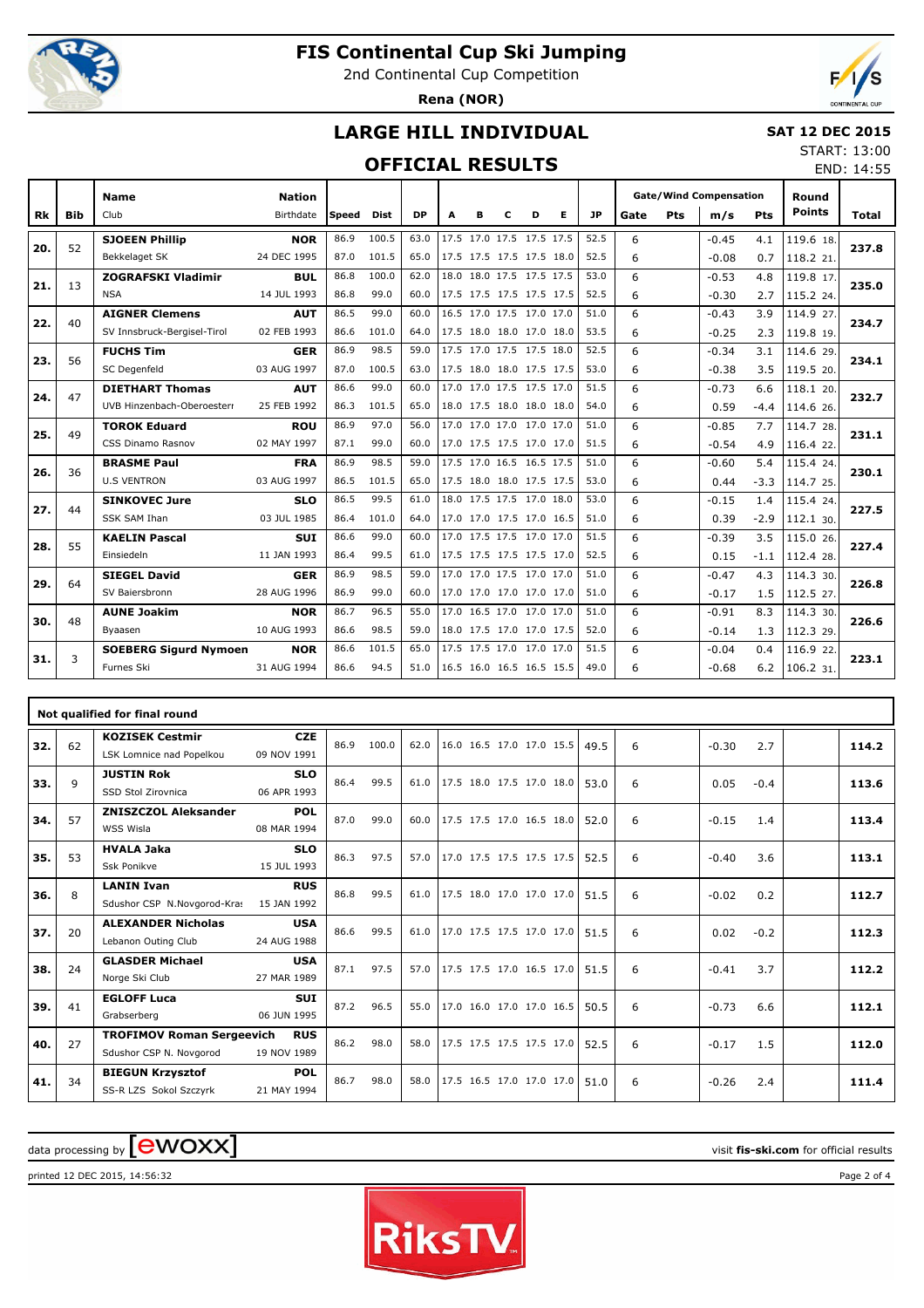

64

48

3

**SIEGEL David** SV Baiersbronn

**AUNE Joakim** Byaasen

**SOEBERG Sigurd Nymoen**

**GER** 28 AUG 1996

**NOR** 10 AUG 1993

**NOR** 31 AUG 1994

# **FIS Continental Cup Ski Jumping**

2nd Continental Cup Competition

**Rena (NOR)**



## **LARGE HILL INDIVIDUAL**

### **SAT 12 DEC 2015**

 $114.330.$ 

 $114.330.$ 

 $116.922$ 

 $1.5$  112.5 27.

 $1.3$  112.3 29.

4.3

8.3

0.4

 $-0.47$  $-0.17$ 

 $-0.91$ -0.14

-0.04 -0.68

 6 6

 6 6

 6 6 START: 13:00

### **OFFICIAL RESULTS**

|           |            |                             |               |              | <b>OFFICIAL RESULTS</b> |           |   |                          |   |                          |           |      |     |                               |        |               | END: 14:55 |
|-----------|------------|-----------------------------|---------------|--------------|-------------------------|-----------|---|--------------------------|---|--------------------------|-----------|------|-----|-------------------------------|--------|---------------|------------|
|           |            | <b>Name</b>                 | <b>Nation</b> |              |                         |           |   |                          |   |                          |           |      |     | <b>Gate/Wind Compensation</b> |        | Round         |            |
| <b>Rk</b> | <b>Bib</b> | Club                        | Birthdate     | <b>Speed</b> | <b>Dist</b>             | <b>DP</b> | A | в                        | D | Е                        | <b>JP</b> | Gate | Pts | m/s                           | Pts    | <b>Points</b> | Total      |
| 20.       | 52         | <b>SJOEEN Phillip</b>       | <b>NOR</b>    | 86.9         | 100.5                   | 63.0      |   | 17.5 17.0 17.5 17.5 17.5 |   |                          | 52.5      | 6    |     | $-0.45$                       | 4.1    | 119.6 18.     | 237.8      |
|           |            | Bekkelaget SK               | 24 DEC 1995   | 87.0         | 101.5                   | 65.0      |   |                          |   | 17.5 17.5 17.5 17.5 18.0 | 52.5      | 6    |     | $-0.08$                       | 0.7    | 118.2 21      |            |
| 21.       | 13         | <b>ZOGRAFSKI Vladimir</b>   | <b>BUL</b>    | 86.8         | 100.0                   | 62.0      |   | 18.0 18.0 17.5 17.5 17.5 |   |                          | 53.0      | 6    |     | $-0.53$                       | 4.8    | 119.8 17.     | 235.0      |
|           |            | <b>NSA</b>                  | 14 JUL 1993   | 86.8         | 99.0                    | 60.0      |   |                          |   | 17.5 17.5 17.5 17.5 17.5 | 52.5      | 6    |     | $-0.30$                       | 2.7    | 115.2 24.     |            |
| 22.       | 40         | <b>AIGNER Clemens</b>       | <b>AUT</b>    | 86.5         | 99.0                    | 60.0      |   | 16.5 17.0 17.5 17.0 17.0 |   |                          | 51.0      | 6    |     | $-0.43$                       | 3.9    | 114.9 27.     | 234.7      |
|           |            | SV Innsbruck-Bergisel-Tirol | 02 FEB 1993   | 86.6         | 101.0                   | 64.0      |   | 17.5 18.0 18.0 17.0 18.0 |   |                          | 53.5      | 6    |     | $-0.25$                       | 2.3    | 119.8 19.     |            |
| 23.       | 56         | <b>FUCHS Tim</b>            | <b>GER</b>    | 86.9         | 98.5                    | 59.0      |   | 17.5 17.0 17.5 17.5 18.0 |   |                          | 52.5      | 6    |     | $-0.34$                       | 3.1    | 114.6 29.     | 234.1      |
|           |            | SC Degenfeld                | 03 AUG 1997   | 87.0         | 100.5                   | 63.0      |   |                          |   | 17.5 18.0 18.0 17.5 17.5 | 53.0      | 6    |     | $-0.38$                       | 3.5    | 119.5 20.     |            |
| 24.       | 47         | <b>DIETHART Thomas</b>      | <b>AUT</b>    | 86.6         | 99.0                    | 60.0      |   | 17.0 17.0 17.5 17.5 17.0 |   |                          | 51.5      | 6    |     | $-0.73$                       | 6.6    | 118.1 20.     | 232.7      |
|           |            | UVB Hinzenbach-Oberoesterr  | 25 FEB 1992   | 86.3         | 101.5                   | 65.0      |   |                          |   | 18.0 17.5 18.0 18.0 18.0 | 54.0      | 6    |     | 0.59                          | $-4.4$ | 114.6 26.     |            |
| 25.       | 49         | <b>TOROK Eduard</b>         | <b>ROU</b>    | 86.9         | 97.0                    | 56.0      |   | 17.0 17.0 17.0 17.0 17.0 |   |                          | 51.0      | 6    |     | $-0.85$                       | 7.7    | 114.7 28.     | 231.1      |
|           |            | CSS Dinamo Rasnov           | 02 MAY 1997   | 87.1         | 99.0                    | 60.0      |   |                          |   | 17.0 17.5 17.5 17.0 17.0 | 51.5      | 6    |     | $-0.54$                       | 4.9    | 116.4 22.     |            |
| 26.       | 36         | <b>BRASME Paul</b>          | <b>FRA</b>    | 86.9         | 98.5                    | 59.0      |   | 17.5 17.0 16.5 16.5 17.5 |   |                          | 51.0      | 6    |     | $-0.60$                       | 5.4    | 115.4 24.     | 230.1      |
|           |            | <b>U.S VENTRON</b>          | 03 AUG 1997   | 86.5         | 101.5                   | 65.0      |   |                          |   | 17.5 18.0 18.0 17.5 17.5 | 53.0      | 6    |     | 0.44                          | $-3.3$ | 114.7 25.     |            |
| 27.       | 44         | <b>SINKOVEC Jure</b>        | <b>SLO</b>    | 86.5         | 99.5                    | 61.0      |   | 18.0 17.5 17.5 17.0 18.0 |   |                          | 53.0      | 6    |     | $-0.15$                       | 1.4    | 115.4 24.     | 227.5      |
|           |            | <b>SSK SAM Ihan</b>         | 03 JUL 1985   | 86.4         | 101.0                   | 64.0      |   |                          |   | 17.0 17.0 17.5 17.0 16.5 | 51.0      | 6    |     | 0.39                          | $-2.9$ | 112.1 30.     |            |
| 28.       | 55         | <b>KAELIN Pascal</b>        | <b>SUI</b>    | 86.6         | 99.0                    | 60.0      |   | 17.0 17.5 17.5 17.0 17.0 |   |                          | 51.5      | 6    |     | $-0.39$                       | 3.5    | 115.0 26.     | 227.4      |
|           |            | Einsiedeln                  | 11 JAN 1993   | 86.4         | 99.5                    | 61.0      |   |                          |   | 17.5 17.5 17.5 17.5 17.0 | 52.5      | 6    |     | 0.15                          | $-1.1$ | 112.4 28.     |            |

| 31. | 3  | Furnes Ski                                                  | 31 AUG 1994               | 86.6 | 94.5  | 51.0 | 16.5 16.0 16.5 16.5 15.5 |  | 49.0 | 6 | $-0.68$ | 6.2    | 106.2 31. | 223.1 |
|-----|----|-------------------------------------------------------------|---------------------------|------|-------|------|--------------------------|--|------|---|---------|--------|-----------|-------|
|     |    |                                                             |                           |      |       |      |                          |  |      |   |         |        |           |       |
|     |    | Not qualified for final round                               |                           |      |       |      |                          |  |      |   |         |        |           |       |
| 32. | 62 | <b>KOZISEK Cestmir</b><br>LSK Lomnice nad Popelkou          | <b>CZE</b><br>09 NOV 1991 | 86.9 | 100.0 | 62.0 | 16.0 16.5 17.0 17.0 15.5 |  | 49.5 | 6 | $-0.30$ | 2.7    |           | 114.2 |
| 33. | 9  | <b>JUSTIN Rok</b><br>SSD Stol Zirovnica                     | <b>SLO</b><br>06 APR 1993 | 86.4 | 99.5  | 61.0 | 17.5 18.0 17.5 17.0 18.0 |  | 53.0 | 6 | 0.05    | $-0.4$ |           | 113.6 |
| 34. | 57 | <b>ZNISZCZOL Aleksander</b><br>WSS Wisla                    | <b>POL</b><br>08 MAR 1994 | 87.0 | 99.0  | 60.0 | 17.5 17.5 17.0 16.5 18.0 |  | 52.0 | 6 | $-0.15$ | 1.4    |           | 113.4 |
| 35. | 53 | <b>HVALA Jaka</b><br>Ssk Ponikve                            | <b>SLO</b><br>15 JUL 1993 | 86.3 | 97.5  | 57.0 | 17.0 17.5 17.5 17.5 17.5 |  | 52.5 | 6 | $-0.40$ | 3.6    |           | 113.1 |
| 36. | 8  | <b>LANIN Ivan</b><br>Sdushor CSP N.Novgorod-Kras            | <b>RUS</b><br>15 JAN 1992 | 86.8 | 99.5  | 61.0 | 17.5 18.0 17.0 17.0 17.0 |  | 51.5 | 6 | $-0.02$ | 0.2    |           | 112.7 |
| 37. | 20 | <b>ALEXANDER Nicholas</b><br>Lebanon Outing Club            | <b>USA</b><br>24 AUG 1988 | 86.6 | 99.5  | 61.0 | 17.0 17.5 17.5 17.0 17.0 |  | 51.5 | 6 | 0.02    | $-0.2$ |           | 112.3 |
| 38. | 24 | <b>GLASDER Michael</b><br>Norge Ski Club                    | <b>USA</b><br>27 MAR 1989 | 87.1 | 97.5  | 57.0 | 17.5 17.5 17.0 16.5 17.0 |  | 51.5 | 6 | $-0.41$ | 3.7    |           | 112.2 |
| 39. | 41 | <b>EGLOFF Luca</b><br>Grabserberg                           | <b>SUT</b><br>06 JUN 1995 | 87.2 | 96.5  | 55.0 | 17.0 16.0 17.0 17.0 16.5 |  | 50.5 | 6 | $-0.73$ | 6.6    |           | 112.1 |
| 40. | 27 | <b>TROFIMOV Roman Sergeevich</b><br>Sdushor CSP N. Novgorod | <b>RUS</b><br>19 NOV 1989 | 86.2 | 98.0  | 58.0 | 17.5 17.5 17.5 17.5 17.0 |  | 52.5 | 6 | $-0.17$ | 1.5    |           | 112.0 |
| 41. | 34 | <b>BIEGUN Krzysztof</b><br>SS-R LZS Sokol Szczyrk           | POL<br>21 MAY 1994        | 86.7 | 98.0  | 58.0 | 17.5 16.5 17.0 17.0 17.0 |  | 51.0 | 6 | $-0.26$ | 2.4    |           | 111.4 |

86.9 98.5 59.0 17.0 17.0 17.5 17.0 17.0 51.0 86.9 99.0 60.0 17.0 17.0 17.0 17.0 17.0 51.0

86.7 96.5 55.0 17.0 16.5 17.0 17.0 17.0 51.0 86.6 98.5 59.0 18.0 17.5 17.0 17.0 17.5 52.0

86.6 101.5 65.0 17.5 17.5 17.0 17.0 17.0 51.5

**29. 226.8**

**30. 226.6**

# $\alpha$  data processing by  $\boxed{\text{ewOX}}$

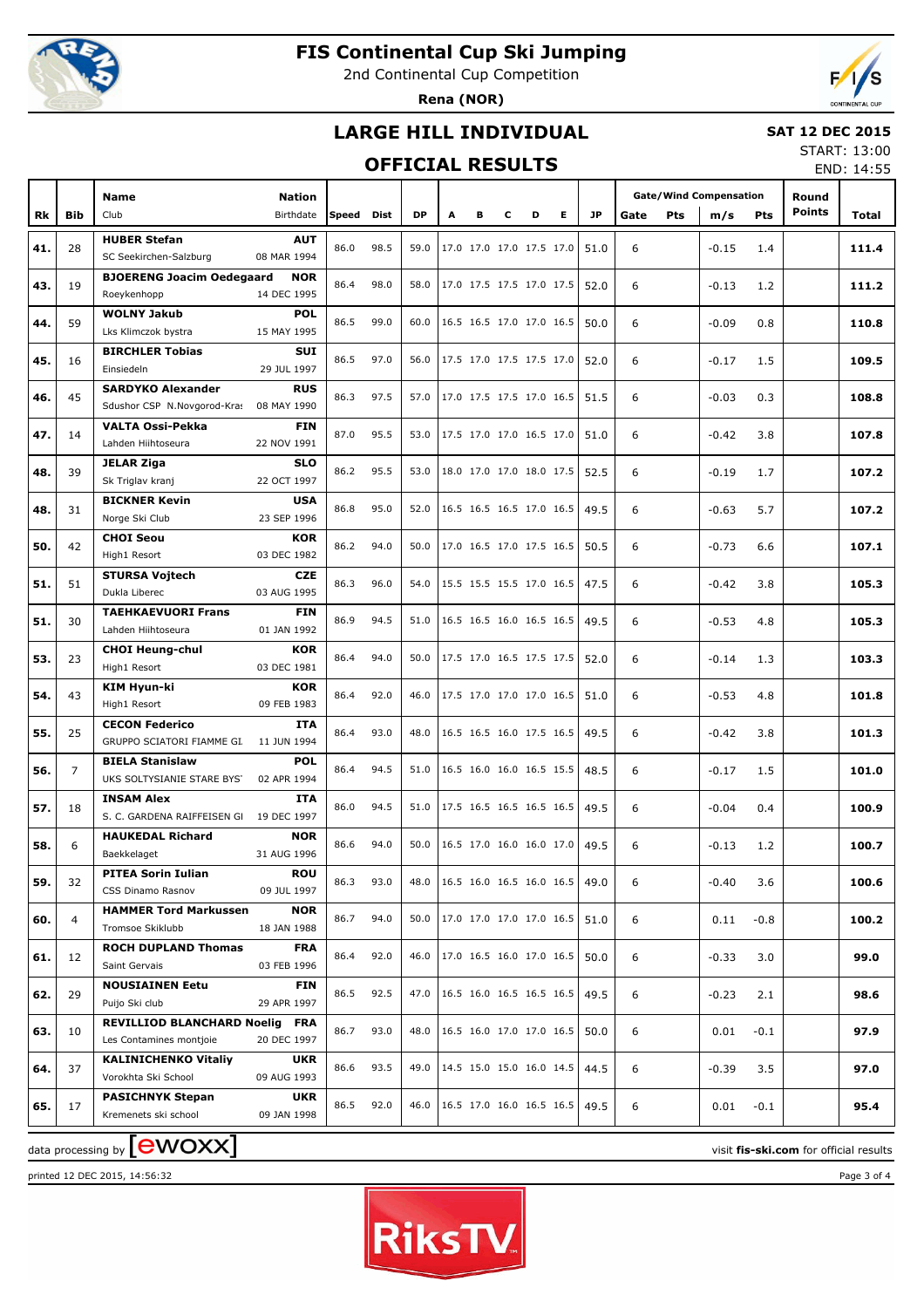

## **FIS Continental Cup Ski Jumping**

2nd Continental Cup Competition

**Rena (NOR)**



### **LARGE HILL INDIVIDUAL**

### **SAT 12 DEC 2015**

### **OFFICIAL RESULTS**

START: 13:00 END: 14:55

|     |            |                                                                 |                           |            |      |           |                            |                          |   |   |   |           |      |            |                               |            |                        | LIVD. 17.JJ |
|-----|------------|-----------------------------------------------------------------|---------------------------|------------|------|-----------|----------------------------|--------------------------|---|---|---|-----------|------|------------|-------------------------------|------------|------------------------|-------------|
|     |            | <b>Name</b>                                                     | <b>Nation</b>             |            |      | <b>DP</b> |                            |                          |   |   |   | <b>JP</b> |      |            | <b>Gate/Wind Compensation</b> |            | Round<br><b>Points</b> |             |
| Rk  | <b>Bib</b> | Club                                                            | Birthdate                 | Speed Dist |      |           | Α                          | в                        | c | D | Е |           | Gate | <b>Pts</b> | m/s                           | <b>Pts</b> |                        | Total       |
| 41. | 28         | <b>HUBER Stefan</b>                                             | <b>AUT</b>                | 86.0       | 98.5 | 59.0      | 17.0 17.0 17.0 17.5 17.0   |                          |   |   |   | 51.0      | 6    |            | $-0.15$                       | 1.4        |                        | 111.4       |
|     |            | SC Seekirchen-Salzburg                                          | 08 MAR 1994               |            |      |           |                            |                          |   |   |   |           |      |            |                               |            |                        |             |
| 43. | 19         | <b>BJOERENG Joacim Oedegaard</b>                                | <b>NOR</b><br>14 DEC 1995 | 86.4       | 98.0 | 58.0      | 17.0 17.5 17.5 17.0 17.5   |                          |   |   |   | 52.0      | 6    |            | $-0.13$                       | 1.2        |                        | 111.2       |
|     |            | Roeykenhopp<br><b>WOLNY Jakub</b>                               | <b>POL</b>                |            |      |           |                            |                          |   |   |   |           |      |            |                               |            |                        |             |
| 44. | 59         | Lks Klimczok bystra                                             | 15 MAY 1995               | 86.5       | 99.0 | 60.0      | 16.5 16.5 17.0 17.0 16.5   |                          |   |   |   | 50.0      | 6    |            | $-0.09$                       | 0.8        |                        | 110.8       |
|     |            | <b>BIRCHLER Tobias</b>                                          | <b>SUI</b>                |            |      |           |                            |                          |   |   |   |           |      |            |                               |            |                        |             |
| 45. | 16         | Einsiedeln                                                      | 29 JUL 1997               | 86.5       | 97.0 | 56.0      | 17.5 17.0 17.5 17.5 17.0   |                          |   |   |   | 52.0      | 6    |            | $-0.17$                       | 1.5        |                        | 109.5       |
|     |            | <b>SARDYKO Alexander</b>                                        | <b>RUS</b>                | 86.3       | 97.5 | 57.0      | 17.0 17.5 17.5 17.0 16.5   |                          |   |   |   |           |      |            |                               |            |                        |             |
| 46. | 45         | Sdushor CSP N.Novgorod-Kras 08 MAY 1990                         |                           |            |      |           |                            |                          |   |   |   | 51.5      | 6    |            | $-0.03$                       | 0.3        |                        | 108.8       |
| 47. | 14         | VALTA Ossi-Pekka                                                | <b>FIN</b>                | 87.0       | 95.5 | 53.0      | 17.5 17.0 17.0 16.5 17.0   |                          |   |   |   | 51.0      | 6    |            | $-0.42$                       | 3.8        |                        | 107.8       |
|     |            | Lahden Hiihtoseura                                              | 22 NOV 1991               |            |      |           |                            |                          |   |   |   |           |      |            |                               |            |                        |             |
| 48. | 39         | <b>JELAR Ziga</b>                                               | <b>SLO</b>                | 86.2       | 95.5 | 53.0      |                            | 18.0 17.0 17.0 18.0 17.5 |   |   |   | 52.5      | 6    |            | $-0.19$                       | 1.7        |                        | 107.2       |
|     |            | Sk Triglav kranj                                                | 22 OCT 1997               |            |      |           |                            |                          |   |   |   |           |      |            |                               |            |                        |             |
| 48. | 31         | <b>BICKNER Kevin</b><br>Norge Ski Club                          | <b>USA</b><br>23 SEP 1996 | 86.8       | 95.0 | 52.0      | 16.5 16.5 16.5 17.0 16.5   |                          |   |   |   | 49.5      | 6    |            | $-0.63$                       | 5.7        |                        | 107.2       |
|     |            | <b>CHOI Seou</b>                                                | <b>KOR</b>                |            |      |           |                            |                          |   |   |   |           |      |            |                               |            |                        |             |
| 50. | 42         | High1 Resort                                                    | 03 DEC 1982               | 86.2       | 94.0 | 50.0      | 17.0 16.5 17.0 17.5 16.5   |                          |   |   |   | 50.5      | 6    |            | $-0.73$                       | 6.6        |                        | 107.1       |
|     |            | <b>STURSA Vojtech</b>                                           | <b>CZE</b>                |            |      |           |                            |                          |   |   |   |           |      |            |                               |            |                        |             |
| 51. | 51         | Dukla Liberec                                                   | 03 AUG 1995               | 86.3       | 96.0 | 54.0      | 15.5 15.5 15.5 17.0 16.5   |                          |   |   |   | 47.5      | 6    |            | $-0.42$                       | 3.8        |                        | 105.3       |
| 51. | 30         | <b>TAEHKAEVUORI Frans</b>                                       | <b>FIN</b>                | 86.9       | 94.5 | 51.0      | 16.5 16.5 16.0 16.5 16.5   |                          |   |   |   | 49.5      | 6    |            | $-0.53$                       | 4.8        |                        | 105.3       |
|     |            | Lahden Hiihtoseura                                              | 01 JAN 1992               |            |      |           |                            |                          |   |   |   |           |      |            |                               |            |                        |             |
| 53. | 23         | <b>CHOI Heung-chul</b>                                          | <b>KOR</b>                | 86.4       | 94.0 | 50.0      | 17.5 17.0 16.5 17.5 17.5   |                          |   |   |   | 52.0      | 6    |            | $-0.14$                       | 1.3        |                        | 103.3       |
|     |            | High1 Resort                                                    | 03 DEC 1981               |            |      |           |                            |                          |   |   |   |           |      |            |                               |            |                        |             |
| 54. | 43         | KIM Hyun-ki                                                     | <b>KOR</b>                | 86.4       | 92.0 | 46.0      | 17.5 17.0 17.0 17.0 16.5   |                          |   |   |   | 51.0      | 6    |            | $-0.53$                       | 4.8        |                        | 101.8       |
|     |            | High1 Resort                                                    | 09 FEB 1983               |            |      |           |                            |                          |   |   |   |           |      |            |                               |            |                        |             |
| 55. | 25         | <b>CECON Federico</b><br>GRUPPO SCIATORI FIAMME GI. 11 JUN 1994 | <b>ITA</b>                | 86.4       | 93.0 | 48.0      |                            | 16.5 16.5 16.0 17.5 16.5 |   |   |   | 49.5      | 6    |            | $-0.42$                       | 3.8        |                        | 101.3       |
|     |            | <b>BIELA Stanislaw</b>                                          | <b>POL</b>                |            |      |           |                            |                          |   |   |   |           |      |            |                               |            |                        |             |
| 56. | 7          | UKS SOLTYSIANIE STARE BYST 02 APR 1994                          |                           | 86.4       | 94.5 | 51.0      |                            | 16.5 16.0 16.0 16.5 15.5 |   |   |   | 48.5      | 6    |            | $-0.17$                       | 1.5        |                        | 101.0       |
|     |            | <b>INSAM Alex</b>                                               | <b>ITA</b>                |            |      |           |                            |                          |   |   |   |           |      |            |                               |            |                        |             |
| 57. | 18         | S. C. GARDENA RAIFFEISEN GI 19 DEC 1997                         |                           | 86.0       | 94.5 | 51.0      | 17.5 16.5 16.5 16.5 16.5   |                          |   |   |   | 49.5      | 6    |            | $-0.04$                       | 0.4        |                        | 100.9       |
| 58. | 6          | <b>HAUKEDAL Richard</b>                                         | <b>NOR</b>                | 86.6       | 94.0 | 50.0      | 16.5 17.0 16.0 16.0 17.0   |                          |   |   |   | 49.5      | 6    |            | $-0.13$                       | 1.2        |                        | 100.7       |
|     |            | Baekkelaget                                                     | 31 AUG 1996               |            |      |           |                            |                          |   |   |   |           |      |            |                               |            |                        |             |
| 59. | 32         | PITEA Sorin Iulian                                              | ROU                       | 86.3       | 93.0 | 48.0      | 16.5 16.0 16.5 16.0 16.5   |                          |   |   |   | 49.0      | 6    |            | $-0.40$                       | 3.6        |                        | 100.6       |
|     |            | CSS Dinamo Rasnov                                               | 09 JUL 1997               |            |      |           |                            |                          |   |   |   |           |      |            |                               |            |                        |             |
| 60. | 4          | <b>HAMMER Tord Markussen</b>                                    | <b>NOR</b><br>18 JAN 1988 | 86.7       | 94.0 | 50.0      | 17.0 17.0 17.0 17.0 16.5   |                          |   |   |   | 51.0      | 6    |            | 0.11                          | $-0.8$     |                        | 100.2       |
|     |            | Tromsoe Skiklubb<br><b>ROCH DUPLAND Thomas</b>                  | <b>FRA</b>                |            |      |           |                            |                          |   |   |   |           |      |            |                               |            |                        |             |
| 61. | 12         | Saint Gervais                                                   | 03 FEB 1996               | 86.4       | 92.0 | 46.0      | 17.0 16.5 16.0 17.0 16.5   |                          |   |   |   | 50.0      | 6    |            | $-0.33$                       | 3.0        |                        | 99.0        |
|     |            | <b>NOUSIAINEN Eetu</b>                                          | <b>FIN</b>                |            |      |           |                            |                          |   |   |   |           |      |            |                               |            |                        |             |
| 62. | 29         | Puijo Ski club                                                  | 29 APR 1997               | 86.5       | 92.5 | 47.0      | 16.5 16.0 16.5 16.5 16.5   |                          |   |   |   | 49.5      | 6    |            | $-0.23$                       | 2.1        |                        | 98.6        |
|     |            | <b>REVILLIOD BLANCHARD Noelig FRA</b>                           |                           | 86.7       | 93.0 | 48.0      | 16.5 16.0 17.0 17.0 16.5   |                          |   |   |   |           |      |            |                               |            |                        |             |
| 63. | 10         | Les Contamines montjoie                                         | 20 DEC 1997               |            |      |           |                            |                          |   |   |   | 50.0      | 6    |            | 0.01                          | $-0.1$     |                        | 97.9        |
| 64. | 37         | <b>KALINICHENKO Vitaliy</b>                                     | <b>UKR</b>                | 86.6       | 93.5 | 49.0      | $14.5$ 15.0 15.0 16.0 14.5 |                          |   |   |   | 44.5      | 6    |            | $-0.39$                       | 3.5        |                        | 97.0        |
|     |            | Vorokhta Ski School                                             | 09 AUG 1993               |            |      |           |                            |                          |   |   |   |           |      |            |                               |            |                        |             |
| 65. | 17         | <b>PASICHNYK Stepan</b>                                         | <b>UKR</b>                | 86.5       | 92.0 | 46.0      | 16.5 17.0 16.0 16.5 16.5   |                          |   |   |   | 49.5      | 6    |            | 0.01                          | $-0.1$     |                        | 95.4        |
|     |            | Kremenets ski school                                            | 09 JAN 1998               |            |      |           |                            |                          |   |   |   |           |      |            |                               |            |                        |             |

 $\frac{1}{2}$  data processing by  $\boxed{\text{ewOX}}$ 

printed 12 DEC 2015, 14:56:32 Page 3 of 4